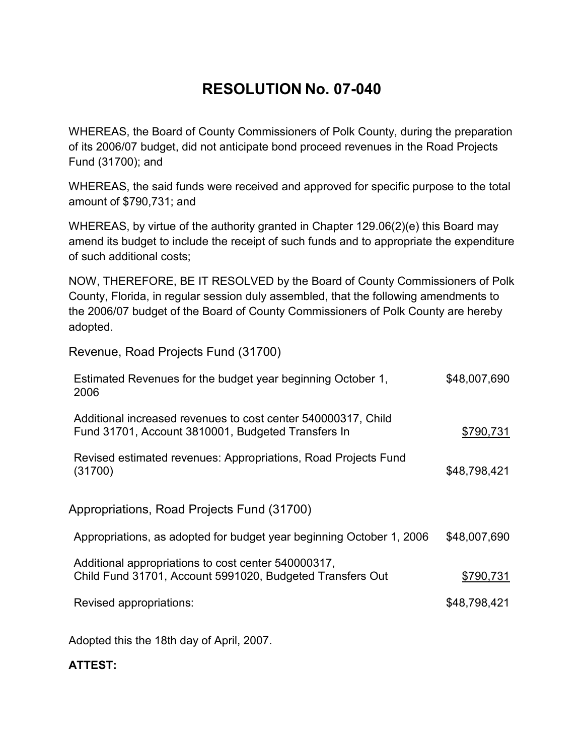## **RESOLUTION No. 07-040**

WHEREAS, the Board of County Commissioners of Polk County, during the preparation of its 2006/07 budget, did not anticipate bond proceed revenues in the Road Projects Fund (31700); and

WHEREAS, the said funds were received and approved for specific purpose to the total amount of \$790,731; and

WHEREAS, by virtue of the authority granted in Chapter 129.06(2)(e) this Board may amend its budget to include the receipt of such funds and to appropriate the expenditure of such additional costs;

NOW, THEREFORE, BE IT RESOLVED by the Board of County Commissioners of Polk County, Florida, in regular session duly assembled, that the following amendments to the 2006/07 budget of the Board of County Commissioners of Polk County are hereby adopted.

Revenue, Road Projects Fund (31700)

| Estimated Revenues for the budget year beginning October 1,<br>2006                                                 | \$48,007,690 |
|---------------------------------------------------------------------------------------------------------------------|--------------|
| Additional increased revenues to cost center 540000317, Child<br>Fund 31701, Account 3810001, Budgeted Transfers In | \$790,731    |
| Revised estimated revenues: Appropriations, Road Projects Fund<br>(31700)                                           | \$48,798,421 |
| Appropriations, Road Projects Fund (31700)                                                                          |              |
| Appropriations, as adopted for budget year beginning October 1, 2006                                                | \$48,007,690 |
| Additional appropriations to cost center 540000317,<br>Child Fund 31701, Account 5991020, Budgeted Transfers Out    | \$790,731    |
| Revised appropriations:                                                                                             | \$48,798,421 |
|                                                                                                                     |              |

Adopted this the 18th day of April, 2007.

## **ATTEST:**